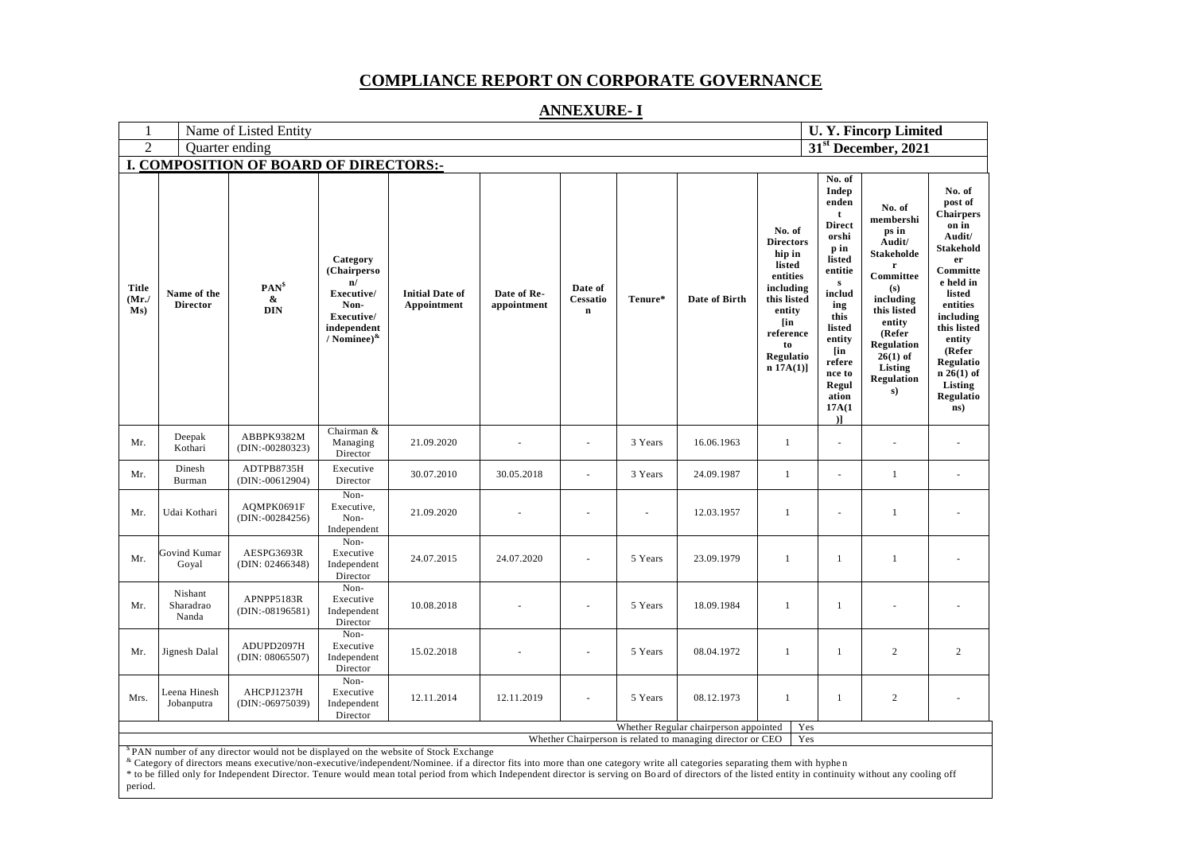## **COMPLIANCE REPORT ON CORPORATE GOVERNANCE**

## **ANNEXURE- I**

| $\mathbf{1}$                                  | <b>U. Y. Fincorp Limited</b><br>Name of Listed Entity                                                             |                                                                                                                                                                            |                                                                                                        |                                                                                                                                                                                                          |                            |                                    |         |               |                                                                                                                                                     |                                                                                                                                                                                                                           |                                                                                                                                                                                                          |                                                                                                                                                                                                                                               |
|-----------------------------------------------|-------------------------------------------------------------------------------------------------------------------|----------------------------------------------------------------------------------------------------------------------------------------------------------------------------|--------------------------------------------------------------------------------------------------------|----------------------------------------------------------------------------------------------------------------------------------------------------------------------------------------------------------|----------------------------|------------------------------------|---------|---------------|-----------------------------------------------------------------------------------------------------------------------------------------------------|---------------------------------------------------------------------------------------------------------------------------------------------------------------------------------------------------------------------------|----------------------------------------------------------------------------------------------------------------------------------------------------------------------------------------------------------|-----------------------------------------------------------------------------------------------------------------------------------------------------------------------------------------------------------------------------------------------|
| $\mathfrak{D}$                                | 31 <sup>st</sup> December, 2021<br>Quarter ending                                                                 |                                                                                                                                                                            |                                                                                                        |                                                                                                                                                                                                          |                            |                                    |         |               |                                                                                                                                                     |                                                                                                                                                                                                                           |                                                                                                                                                                                                          |                                                                                                                                                                                                                                               |
| <b>I. COMPOSITION OF BOARD OF DIRECTORS:-</b> |                                                                                                                   |                                                                                                                                                                            |                                                                                                        |                                                                                                                                                                                                          |                            |                                    |         |               |                                                                                                                                                     |                                                                                                                                                                                                                           |                                                                                                                                                                                                          |                                                                                                                                                                                                                                               |
| <b>Title</b><br>$(Mr$ ./<br>Ms)               | Name of the<br><b>Director</b>                                                                                    | $PAN^s$<br>&<br><b>DIN</b>                                                                                                                                                 | Category<br>(Chairperso<br>n/<br>Executive/<br>Non-<br>Executive/<br>independent<br>/ Nominee) $^{\&}$ | <b>Initial Date of</b><br>Appointment                                                                                                                                                                    | Date of Re-<br>appointment | Date of<br>Cessatio<br>$\mathbf n$ | Tenure* | Date of Birth | No. of<br><b>Directors</b><br>hip in<br>listed<br>entities<br>including<br>this listed<br>entity<br>[in<br>reference<br>to<br>Regulatio<br>n 17A(1) | No. of<br>Indep<br>enden<br>t<br><b>Direct</b><br>orshi<br>p in<br>listed<br>entitie<br>$\mathbf{s}$<br>includ<br>ing<br>this<br>listed<br>entity<br>[in<br>refere<br>nce to<br>Regul<br>ation<br>17A(1)<br>$\mathcal{L}$ | No. of<br>membershi<br>ps in<br>Audit/<br><b>Stakeholde</b><br>Committee<br>(s)<br>including<br>this listed<br>entity<br>(Refer<br><b>Regulation</b><br>$26(1)$ of<br>Listing<br><b>Regulation</b><br>s) | No. of<br>post of<br><b>Chairpers</b><br>on in<br>Audit/<br><b>Stakehold</b><br>er<br>Committe<br>e held in<br>listed<br>entities<br>including<br>this listed<br>entity<br>(Refer<br>Regulatio<br>$n 26(1)$ of<br>Listing<br>Regulatio<br>ns) |
| Mr.                                           | Deepak<br>Kothari                                                                                                 | ABBPK9382M<br>$(DIN: -00280323)$                                                                                                                                           | Chairman &<br>Managing<br>Director                                                                     | 21.09.2020                                                                                                                                                                                               |                            | ä,                                 | 3 Years | 16.06.1963    | $\mathbf{1}$                                                                                                                                        | $\blacksquare$                                                                                                                                                                                                            |                                                                                                                                                                                                          |                                                                                                                                                                                                                                               |
| Mr.                                           | Dinesh<br>Burman                                                                                                  | ADTPB8735H<br>$(DIN: -00612904)$                                                                                                                                           | Executive<br>Director                                                                                  | 30.07.2010                                                                                                                                                                                               | 30.05.2018                 | ÷,                                 | 3 Years | 24.09.1987    | $\mathbf{1}$                                                                                                                                        | L.                                                                                                                                                                                                                        | -1                                                                                                                                                                                                       | L.                                                                                                                                                                                                                                            |
| Mr.                                           | Udai Kothari                                                                                                      | AQMPK0691F<br>$(DIN: -00284256)$                                                                                                                                           | Non-<br>Executive,<br>Non-<br>Independent                                                              | 21.09.2020                                                                                                                                                                                               |                            |                                    |         | 12.03.1957    | $\mathbf{1}$                                                                                                                                        | $\sim$                                                                                                                                                                                                                    | 1                                                                                                                                                                                                        |                                                                                                                                                                                                                                               |
| Mr.                                           | Govind Kumar<br>Goyal                                                                                             | AESPG3693R<br>(DIN: 02466348)                                                                                                                                              | Non-<br>Executive<br>Independent<br>Director                                                           | 24.07.2015                                                                                                                                                                                               | 24.07.2020                 | $\overline{\phantom{a}}$           | 5 Years | 23.09.1979    | $\mathbf{1}$                                                                                                                                        | $\mathbf{1}$                                                                                                                                                                                                              | $\mathbf{1}$                                                                                                                                                                                             |                                                                                                                                                                                                                                               |
| Mr.                                           | Nishant<br>Sharadrao<br>Nanda                                                                                     | APNPP5183R<br>$(DIN: -08196581)$                                                                                                                                           | Non-<br>Executive<br>Independent<br>Director                                                           | 10.08.2018                                                                                                                                                                                               |                            |                                    | 5 Years | 18.09.1984    | $\mathbf{1}$                                                                                                                                        | $\mathbf{1}$                                                                                                                                                                                                              |                                                                                                                                                                                                          |                                                                                                                                                                                                                                               |
| Mr.                                           | Jignesh Dalal                                                                                                     | ADUPD2097H<br>(DIN: 08065507)                                                                                                                                              | Non-<br>Executive<br>Independent<br>Director                                                           | 15.02.2018                                                                                                                                                                                               |                            | ÷,                                 | 5 Years | 08.04.1972    | $\mathbf{1}$                                                                                                                                        | $\mathbf{1}$                                                                                                                                                                                                              | $\mathbf{2}$                                                                                                                                                                                             | $\mathfrak{2}$                                                                                                                                                                                                                                |
| Mrs.                                          | Leena Hinesh<br>Jobanputra                                                                                        | AHCPJ1237H<br>$(DIN: -06975039)$                                                                                                                                           | Non-<br>Executive<br>Independent<br>Director                                                           | 12.11.2014                                                                                                                                                                                               | 12.11.2019                 |                                    | 5 Years | 08.12.1973    | $\mathbf{1}$                                                                                                                                        | $\mathbf{1}$                                                                                                                                                                                                              | $\mathbf{2}$                                                                                                                                                                                             |                                                                                                                                                                                                                                               |
|                                               | Yes<br>Whether Regular chairperson appointed<br>Whether Chairperson is related to managing director or CEO<br>Yes |                                                                                                                                                                            |                                                                                                        |                                                                                                                                                                                                          |                            |                                    |         |               |                                                                                                                                                     |                                                                                                                                                                                                                           |                                                                                                                                                                                                          |                                                                                                                                                                                                                                               |
|                                               |                                                                                                                   | <sup>S</sup> PAN number of any director would not be displayed on the website of Stock Exchange                                                                            |                                                                                                        |                                                                                                                                                                                                          |                            |                                    |         |               |                                                                                                                                                     |                                                                                                                                                                                                                           |                                                                                                                                                                                                          |                                                                                                                                                                                                                                               |
|                                               |                                                                                                                   | « Category of directors means executive/non-executive/independent/Nominee. if a director fits into more than one category write all categories separating them with hyphen |                                                                                                        | * to be filled only for Independent Director. Tenure would mean total period from which Independent director is serving on Board of directors of the listed entity in continuity without any cooling off |                            |                                    |         |               |                                                                                                                                                     |                                                                                                                                                                                                                           |                                                                                                                                                                                                          |                                                                                                                                                                                                                                               |

period.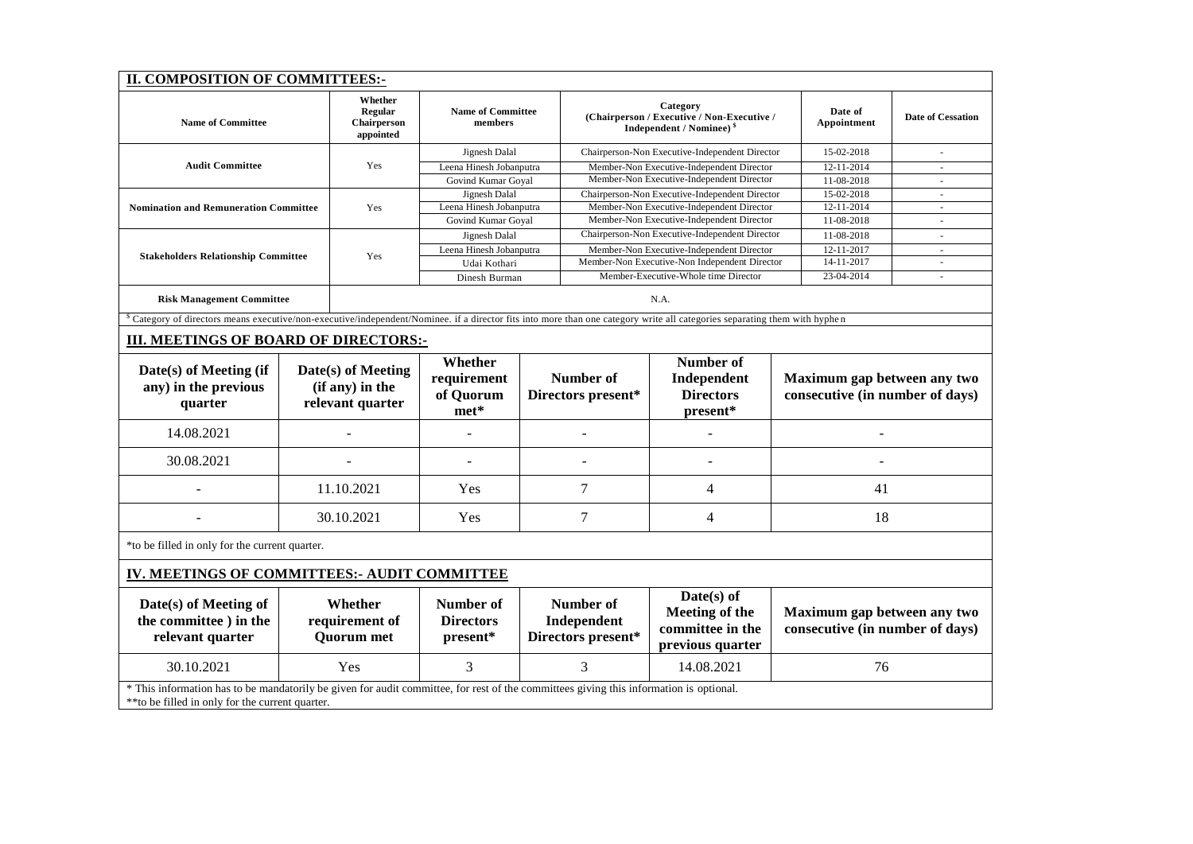| II. COMPOSITION OF COMMITTEES:-                                                                                                                                                           |                                                                                                                                                                                       |                                                           |                                               |                                                |                                                                                               |                                                                        |                                                                |                                                                |        |
|-------------------------------------------------------------------------------------------------------------------------------------------------------------------------------------------|---------------------------------------------------------------------------------------------------------------------------------------------------------------------------------------|-----------------------------------------------------------|-----------------------------------------------|------------------------------------------------|-----------------------------------------------------------------------------------------------|------------------------------------------------------------------------|----------------------------------------------------------------|----------------------------------------------------------------|--------|
| <b>Name of Committee</b>                                                                                                                                                                  | Whether<br><b>Regular</b><br>Chairperson<br>appointed                                                                                                                                 | <b>Name of Committee</b><br>members                       |                                               |                                                | Category<br>(Chairperson / Executive / Non-Executive /<br>Independent / Nominee) <sup>§</sup> |                                                                        | Date of<br>Appointment                                         | <b>Date of Cessation</b>                                       |        |
|                                                                                                                                                                                           |                                                                                                                                                                                       | Jignesh Dalal                                             |                                               | Chairperson-Non Executive-Independent Director |                                                                                               |                                                                        | 15-02-2018                                                     |                                                                |        |
| <b>Audit Committee</b>                                                                                                                                                                    | Yes                                                                                                                                                                                   | Leena Hinesh Jobanputra                                   |                                               |                                                | Member-Non Executive-Independent Director                                                     |                                                                        | 12-11-2014                                                     | $\omega$                                                       |        |
|                                                                                                                                                                                           |                                                                                                                                                                                       | Govind Kumar Goyal                                        |                                               | Member-Non Executive-Independent Director      |                                                                                               |                                                                        | 11-08-2018                                                     | ÷                                                              |        |
|                                                                                                                                                                                           |                                                                                                                                                                                       | Jignesh Dalal                                             |                                               | Chairperson-Non Executive-Independent Director |                                                                                               |                                                                        | 15-02-2018<br>$\overline{\phantom{a}}$                         |                                                                |        |
| <b>Nomination and Remuneration Committee</b>                                                                                                                                              | Yes                                                                                                                                                                                   | Leena Hinesh Jobanputra                                   |                                               | Member-Non Executive-Independent Director      |                                                                                               |                                                                        | 12-11-2014<br>11-08-2018                                       | $\bar{a}$                                                      |        |
|                                                                                                                                                                                           |                                                                                                                                                                                       |                                                           |                                               | Govind Kumar Goyal                             |                                                                                               | Member-Non Executive-Independent Director                              |                                                                |                                                                |        |
|                                                                                                                                                                                           |                                                                                                                                                                                       | Yes                                                       | Jignesh Dalal                                 |                                                | Chairperson-Non Executive-Independent Director                                                |                                                                        |                                                                | 11-08-2018                                                     | $\sim$ |
| <b>Stakeholders Relationship Committee</b>                                                                                                                                                |                                                                                                                                                                                       |                                                           | Leena Hinesh Jobanputra                       |                                                | Member-Non Executive-Independent Director                                                     |                                                                        |                                                                | 12-11-2017<br>14-11-2017                                       | $\sim$ |
|                                                                                                                                                                                           |                                                                                                                                                                                       |                                                           | Udai Kothari                                  |                                                | Member-Non Executive-Non Independent Director                                                 |                                                                        |                                                                |                                                                | ä,     |
|                                                                                                                                                                                           |                                                                                                                                                                                       |                                                           | Dinesh Burman                                 |                                                | Member-Executive-Whole time Director                                                          |                                                                        |                                                                | 23-04-2014                                                     | ä,     |
| <b>Risk Management Committee</b>                                                                                                                                                          | N.A.                                                                                                                                                                                  |                                                           |                                               |                                                |                                                                                               |                                                                        |                                                                |                                                                |        |
|                                                                                                                                                                                           | <sup>8</sup> Category of directors means executive/non-executive/independent/Nominee. if a director fits into more than one category write all categories separating them with hyphen |                                                           |                                               |                                                |                                                                                               |                                                                        |                                                                |                                                                |        |
| III. MEETINGS OF BOARD OF DIRECTORS:-                                                                                                                                                     |                                                                                                                                                                                       |                                                           |                                               |                                                |                                                                                               |                                                                        |                                                                |                                                                |        |
| Date(s) of Meeting (if<br>any) in the previous<br>quarter                                                                                                                                 |                                                                                                                                                                                       | Date(s) of Meeting<br>(if any) in the<br>relevant quarter | Whether<br>requirement<br>of Quorum<br>$met*$ | <b>Number of</b><br>Directors present*         |                                                                                               | Number of<br>Independent<br><b>Directors</b><br>present*               | Maximum gap between any two<br>consecutive (in number of days) |                                                                |        |
| 14.08.2021                                                                                                                                                                                |                                                                                                                                                                                       |                                                           |                                               |                                                |                                                                                               | L,                                                                     |                                                                |                                                                |        |
| 30.08.2021                                                                                                                                                                                |                                                                                                                                                                                       |                                                           |                                               |                                                |                                                                                               | $\overline{a}$                                                         |                                                                |                                                                |        |
|                                                                                                                                                                                           | 11.10.2021                                                                                                                                                                            |                                                           | Yes                                           | 7                                              |                                                                                               | 4                                                                      | 41                                                             |                                                                |        |
|                                                                                                                                                                                           | 30.10.2021                                                                                                                                                                            |                                                           | Yes                                           | 7                                              |                                                                                               | 4                                                                      | 18                                                             |                                                                |        |
| *to be filled in only for the current quarter.                                                                                                                                            |                                                                                                                                                                                       |                                                           |                                               |                                                |                                                                                               |                                                                        |                                                                |                                                                |        |
| IV. MEETINGS OF COMMITTEES: AUDIT COMMITTEE                                                                                                                                               |                                                                                                                                                                                       |                                                           |                                               |                                                |                                                                                               |                                                                        |                                                                |                                                                |        |
| Date(s) of Meeting of<br>the committee ) in the<br>relevant quarter                                                                                                                       | Whether<br>requirement of<br><b>Quorum</b> met                                                                                                                                        |                                                           | Number of<br><b>Directors</b><br>present*     | Number of<br>Independent<br>Directors present* |                                                                                               | $Date(s)$ of<br>Meeting of the<br>committee in the<br>previous quarter |                                                                | Maximum gap between any two<br>consecutive (in number of days) |        |
| 30.10.2021                                                                                                                                                                                |                                                                                                                                                                                       | Yes                                                       | 3                                             | 3                                              |                                                                                               | 14.08.2021<br>76                                                       |                                                                |                                                                |        |
| * This information has to be mandatorily be given for audit committee, for rest of the committees giving this information is optional.<br>**to be filled in only for the current quarter. |                                                                                                                                                                                       |                                                           |                                               |                                                |                                                                                               |                                                                        |                                                                |                                                                |        |